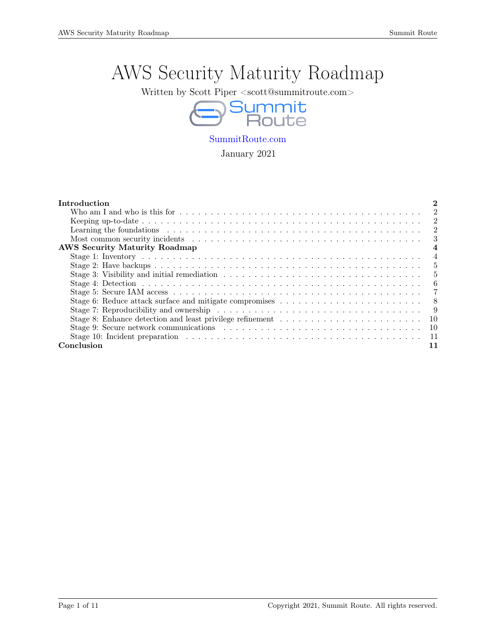# AWS Security Maturity Roadmap

Written by Scott Piper $<$ scott@summitroute.com $>$ 



[SummitRoute.com](https://summitroute.com/)

January 2021

| Introduction                                                                                                                                     |
|--------------------------------------------------------------------------------------------------------------------------------------------------|
| $\overline{2}$<br>Who am I and who is this for $\dots \dots \dots \dots \dots \dots \dots \dots \dots \dots \dots \dots \dots \dots \dots \dots$ |
| $\overline{2}$                                                                                                                                   |
| $\overline{2}$                                                                                                                                   |
| 3                                                                                                                                                |
| <b>AWS Security Maturity Roadmap</b>                                                                                                             |
| $\overline{4}$                                                                                                                                   |
| -5                                                                                                                                               |
| - 5                                                                                                                                              |
|                                                                                                                                                  |
| -7                                                                                                                                               |
|                                                                                                                                                  |
| Stage 7: Reproducibility and ownership $\ldots \ldots \ldots \ldots \ldots \ldots \ldots \ldots \ldots \ldots \ldots \ldots$<br>- 9              |
|                                                                                                                                                  |
|                                                                                                                                                  |
|                                                                                                                                                  |
| Conclusion<br>11                                                                                                                                 |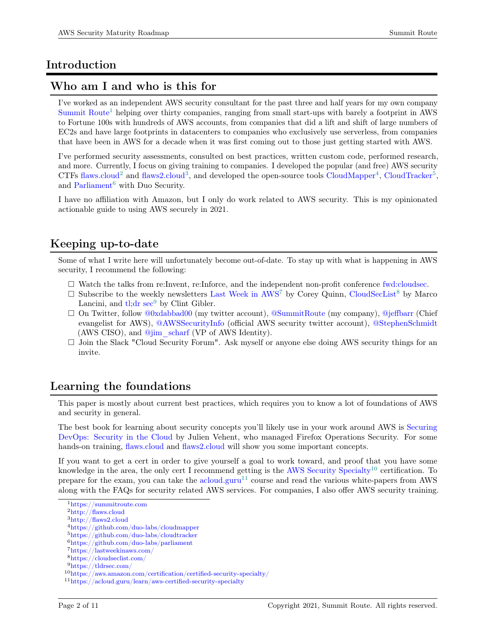## <span id="page-1-0"></span>Introduction

# <span id="page-1-1"></span>Who am I and who is this for

I've worked as an independent AWS security consultant for the past three and half years for my own company [Summit Route](https://summitroute.com)<sup>[1](#page-1-4)</sup> helping over thirty companies, ranging from small start-ups with barely a footprint in AWS to Fortune 100s with hundreds of AWS accounts, from companies that did a lift and shift of large numbers of EC2s and have large footprints in datacenters to companies who exclusively use serverless, from companies that have been in AWS for a decade when it was first coming out to those just getting started with AWS.

I've performed security assessments, consulted on best practices, written custom code, performed research, and more. Currently, I focus on giving training to companies. I developed the popular (and free) AWS security CTFs [flaws.cloud](http://flaws.cloud)<sup>[2](#page-1-5)</sup> and [flaws2.cloud](http://flaws2.cloud)<sup>[3](#page-1-6)</sup>, and developed the open-source tools [CloudMapper](https://github.com/duo-labs/cloudmapper)<sup>[4](#page-1-7)</sup>, [CloudTracker](https://github.com/duo-labs/cloudtracker)<sup>[5](#page-1-8)</sup>, and [Parliament](https://github.com/duo-labs/parliament)<sup>[6](#page-1-9)</sup> with Duo Security.

I have no affiliation with Amazon, but I only do work related to AWS security. This is my opinionated actionable guide to using AWS securely in 2021.

# <span id="page-1-2"></span>Keeping up-to-date

Some of what I write here will unfortunately become out-of-date. To stay up with what is happening in AWS security, I recommend the following:

- $\Box$  Watch the talks from re:Invent, re:Inforce, and the independent non-profit conference [fwd:cloudsec.](https://fwdcloudsec.org/)
- $\square$  Subscribe to the weekly newsletters [Last Week in AWS](https://lastweekinaws.com/)<sup>[7](#page-1-10)</sup> by Corey Quinn, [CloudSecList](https://cloudseclist.com/)<sup>[8](#page-1-11)</sup> by Marco Lancini, and  $t!$ ;dr sec<sup>[9](#page-1-12)</sup> by Clint Gibler.
- $\Box$  On Twitter, follow [@0xdabbad00](https://twitter.com/0xdabbad00) (my twitter account), [@SummitRoute](https://twitter.com/SummitRoute) (my company), [@jeffbarr](https://twitter.com/jeffbarr) (Chief evangelist for AWS), [@AWSSecurityInfo](https://twitter.com/AWSSecurityInfo) (official AWS security twitter account), [@StephenSchmidt](https://twitter.com/StephenSchmidt) (AWS CISO), and [@jim\\_scharf](https://twitter.com/jim_scharf) (VP of AWS Identity).
- $\Box$  Join the Slack "Cloud Security Forum". Ask myself or anyone else doing AWS security things for an invite.

# <span id="page-1-3"></span>Learning the foundations

This paper is mostly about current best practices, which requires you to know a lot of foundations of AWS and security in general.

The best book for learning about security concepts you'll likely use in your work around AWS is [Securing](https://www.amazon.com/Securing-DevOps-Security-Julien-Vehent/dp/1617294136) [DevOps: Security in the Cloud](https://www.amazon.com/Securing-DevOps-Security-Julien-Vehent/dp/1617294136) by Julien Vehent, who managed Firefox Operations Security. For some hands-on training, [flaws.cloud](http://flaws.cloud) and [flaws2.cloud](http://flaws2.cloud) will show you some important concepts.

If you want to get a cert in order to give yourself a goal to work toward, and proof that you have some knowledge in the area, the only cert I recommend getting is the [AWS Security Specialty](https://aws.amazon.com/certification/certified-security-specialty/)<sup>[10](#page-1-13)</sup> certification. To prepare for the exam, you can take the [acloud.guru](https://acloud.guru/learn/aws-certified-security-specialty)<sup>[11](#page-1-14)</sup> course and read the various white-papers from AWS along with the FAQs for security related AWS services. For companies, I also offer AWS security training.

<span id="page-1-4"></span><sup>1</sup><https://summitroute.com>

<span id="page-1-5"></span><sup>2</sup><http://flaws.cloud>

<span id="page-1-6"></span><sup>3</sup><http://flaws2.cloud>

<span id="page-1-7"></span><sup>4</sup><https://github.com/duo-labs/cloudmapper>

<span id="page-1-8"></span><sup>5</sup><https://github.com/duo-labs/cloudtracker>

<span id="page-1-9"></span><sup>6</sup><https://github.com/duo-labs/parliament> <sup>7</sup><https://lastweekinaws.com/>

<span id="page-1-11"></span><span id="page-1-10"></span><sup>8</sup><https://cloudseclist.com/>

<span id="page-1-12"></span> $^9 \rm{https://tldrsec.com/}$  $^9 \rm{https://tldrsec.com/}$  $^9 \rm{https://tldrsec.com/}$ 

<span id="page-1-13"></span> $10$ <https://aws.amazon.com/certification/certified-security-specialty/>

<span id="page-1-14"></span> $\rm ^{11}$  <https://acloud.guru/learn/aws-certified-security-specialty>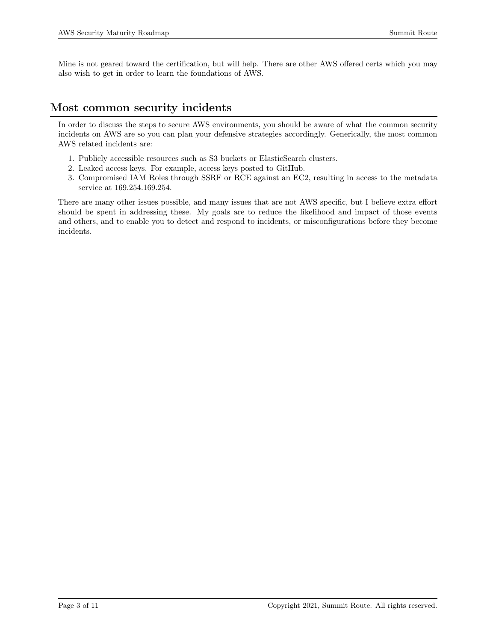Mine is not geared toward the certification, but will help. There are other AWS offered certs which you may also wish to get in order to learn the foundations of AWS.

## <span id="page-2-0"></span>Most common security incidents

In order to discuss the steps to secure AWS environments, you should be aware of what the common security incidents on AWS are so you can plan your defensive strategies accordingly. Generically, the most common AWS related incidents are:

- 1. Publicly accessible resources such as S3 buckets or ElasticSearch clusters.
- 2. Leaked access keys. For example, access keys posted to GitHub.
- 3. Compromised IAM Roles through SSRF or RCE against an EC2, resulting in access to the metadata service at 169.254.169.254.

There are many other issues possible, and many issues that are not AWS specific, but I believe extra effort should be spent in addressing these. My goals are to reduce the likelihood and impact of those events and others, and to enable you to detect and respond to incidents, or misconfigurations before they become incidents.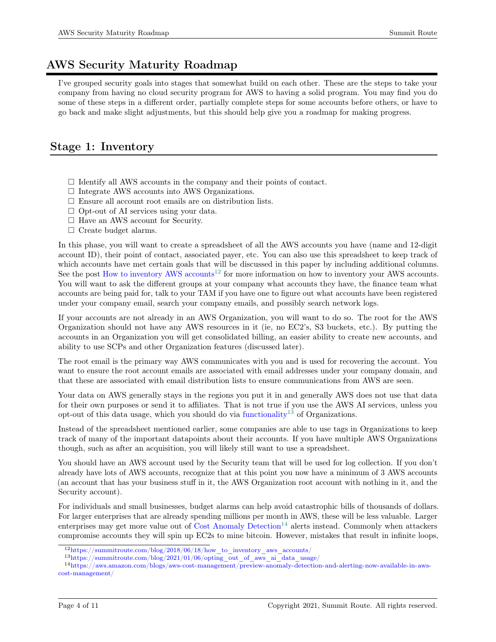## <span id="page-3-0"></span>AWS Security Maturity Roadmap

I've grouped security goals into stages that somewhat build on each other. These are the steps to take your company from having no cloud security program for AWS to having a solid program. You may find you do some of these steps in a different order, partially complete steps for some accounts before others, or have to go back and make slight adjustments, but this should help give you a roadmap for making progress.

## <span id="page-3-1"></span>Stage 1: Inventory

- $\Box$  Identify all AWS accounts in the company and their points of contact.
- $\Box$  Integrate AWS accounts into AWS Organizations.
- $\Box$  <br> Ensure all account root emails are on distribution lists.
- $\Box$  Opt-out of AI services using your data.
- $\Box$  Have an AWS account for Security.
- $\Box$  Create budget alarms.

In this phase, you will want to create a spreadsheet of all the AWS accounts you have (name and 12-digit account ID), their point of contact, associated payer, etc. You can also use this spreadsheet to keep track of which accounts have met certain goals that will be discussed in this paper by including additional columns. See the post [How to inventory AWS accounts](https://summitroute.com/blog/2018/06/18/how_to_inventory_aws_accounts/)<sup>[12](#page-3-2)</sup> for more information on how to inventory your AWS accounts. You will want to ask the different groups at your company what accounts they have, the finance team what accounts are being paid for, talk to your TAM if you have one to figure out what accounts have been registered under your company email, search your company emails, and possibly search network logs.

If your accounts are not already in an AWS Organization, you will want to do so. The root for the AWS Organization should not have any AWS resources in it (ie, no EC2's, S3 buckets, etc.). By putting the accounts in an Organization you will get consolidated billing, an easier ability to create new accounts, and ability to use SCPs and other Organization features (discussed later).

The root email is the primary way AWS communicates with you and is used for recovering the account. You want to ensure the root account emails are associated with email addresses under your company domain, and that these are associated with email distribution lists to ensure communications from AWS are seen.

Your data on AWS generally stays in the regions you put it in and generally AWS does not use that data for their own purposes or send it to affiliates. That is not true if you use the AWS AI services, unless you opt-out of this data usage, which you should do via [functionality](https://summitroute.com/blog/2021/01/06/opting_out_of_aws_ai_data_usage/)<sup>[13](#page-3-3)</sup> of Organizations.

Instead of the spreadsheet mentioned earlier, some companies are able to use tags in Organizations to keep track of many of the important datapoints about their accounts. If you have multiple AWS Organizations though, such as after an acquisition, you will likely still want to use a spreadsheet.

You should have an AWS account used by the Security team that will be used for log collection. If you don't already have lots of AWS accounts, recognize that at this point you now have a minimum of 3 AWS accounts (an account that has your business stuff in it, the AWS Organization root account with nothing in it, and the Security account).

For individuals and small businesses, budget alarms can help avoid catastrophic bills of thousands of dollars. For larger enterprises that are already spending millions per month in AWS, these will be less valuable. Larger enterprises may get more value out of [Cost Anomaly Detection](https://aws.amazon.com/blogs/aws-cost-management/preview-anomaly-detection-and-alerting-now-available-in-aws-cost-management/)<sup>[14](#page-3-4)</sup> alerts instead. Commonly when attackers compromise accounts they will spin up EC2s to mine bitcoin. However, mistakes that result in infinite loops,

<span id="page-3-2"></span> $12$ https://summitroute.com/blog/2018/06/18/how to inventory aws accounts/

<span id="page-3-4"></span><span id="page-3-3"></span> $13$ [https://summitroute.com/blog/2021/01/06/opting\\_out\\_of\\_aws\\_ai\\_data\\_usage/](https://summitroute.com/blog/2021/01/06/opting_out_of_aws_ai_data_usage/)

<sup>14</sup>[https://aws.amazon.com/blogs/aws-cost-management/preview-anomaly-detection-and-alerting-now-available-in-aws](https://aws.amazon.com/blogs/aws-cost-management/preview-anomaly-detection-and-alerting-now-available-in-aws-cost-management/)[cost-management/](https://aws.amazon.com/blogs/aws-cost-management/preview-anomaly-detection-and-alerting-now-available-in-aws-cost-management/)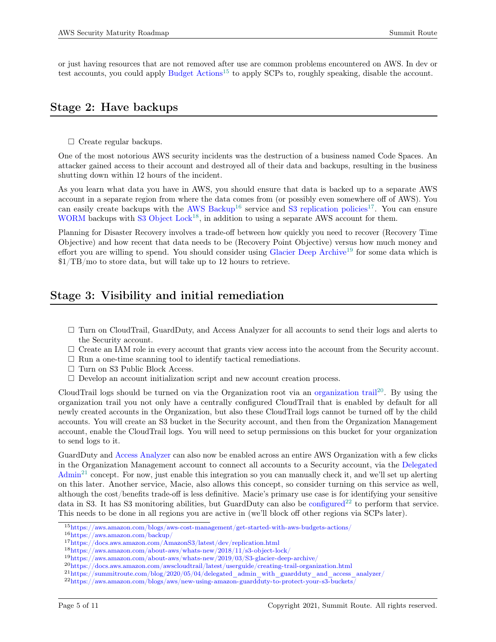or just having resources that are not removed after use are common problems encountered on AWS. In dev or test accounts, you could apply [Budget Actions](https://aws.amazon.com/blogs/aws-cost-management/get-started-with-aws-budgets-actions/)[15](#page-4-2) to apply SCPs to, roughly speaking, disable the account.

#### <span id="page-4-0"></span>Stage 2: Have backups

 $\Box$  Create regular backups.

One of the most notorious AWS security incidents was the destruction of a business named Code Spaces. An attacker gained access to their account and destroyed all of their data and backups, resulting in the business shutting down within 12 hours of the incident.

As you learn what data you have in AWS, you should ensure that data is backed up to a separate AWS account in a separate region from where the data comes from (or possibly even somewhere off of AWS). You can easily create backups with the [AWS Backup](https://aws.amazon.com/backup/)<sup>[16](#page-4-3)</sup> service and [S3 replication policies](https://docs.aws.amazon.com/AmazonS3/latest/dev/replication.html)<sup>[17](#page-4-4)</sup>. You can ensure [WORM](https://en.wikipedia.org/wiki/Write_once_read_many) backups with [S3 Object Lock](https://aws.amazon.com/about-aws/whats-new/2018/11/s3-object-lock/)<sup>[18](#page-4-5)</sup>, in addition to using a separate AWS account for them.

Planning for Disaster Recovery involves a trade-off between how quickly you need to recover (Recovery Time Objective) and how recent that data needs to be (Recovery Point Objective) versus how much money and effort you are willing to spend. You should consider using [Glacier Deep Archive](https://aws.amazon.com/about-aws/whats-new/2019/03/S3-glacier-deep-archive/)<sup>[19](#page-4-6)</sup> for some data which is \$1/TB/mo to store data, but will take up to 12 hours to retrieve.

## <span id="page-4-1"></span>Stage 3: Visibility and initial remediation

- $\Box$  Turn on CloudTrail, GuardDuty, and Access Analyzer for all accounts to send their logs and alerts to the Security account.
- $\Box$  Create an IAM role in every account that grants view access into the account from the Security account.
- $\Box$  Run a one-time scanning tool to identify tactical remediations.
- $\Box$  Turn on S3 Public Block Access.
- $\square$  Develop an account initialization script and new account creation process.

CloudTrail logs should be turned on via the Organization root via an [organization trail](https://docs.aws.amazon.com/awscloudtrail/latest/userguide/creating-trail-organization.html)<sup>[20](#page-4-7)</sup>. By using the organization trail you not only have a centrally configured CloudTrail that is enabled by default for all newly created accounts in the Organization, but also these CloudTrail logs cannot be turned off by the child accounts. You will create an S3 bucket in the Security account, and then from the Organization Management account, enable the CloudTrail logs. You will need to setup permissions on this bucket for your organization to send logs to it.

GuardDuty and [Access Analyzer](https://aws.amazon.com/blogs/aws/identify-unintended-resource-access-with-aws-identity-and-access-management-iam-access-analyzer/) can also now be enabled across an entire AWS Organization with a few clicks in the Organization Management account to connect all accounts to a Security account, via the [Delegated](https://summitroute.com/blog/2020/05/04/delegated_admin_with_guardduty_and_access_analyzer/)  $\text{Admin}^{21}$  $\text{Admin}^{21}$  $\text{Admin}^{21}$  $\text{Admin}^{21}$  $\text{Admin}^{21}$  concept. For now, just enable this integration so you can manually check it, and we'll set up alerting on this later. Another service, Macie, also allows this concept, so consider turning on this service as well, although the cost/benefits trade-off is less definitive. Macie's primary use case is for identifying your sensitive data in S3. It has S3 monitoring abilities, but GuardDuty can also be [configured](https://aws.amazon.com/blogs/aws/new-using-amazon-guardduty-to-protect-your-s3-buckets/)<sup>[22](#page-4-9)</sup> to perform that service. This needs to be done in all regions you are active in (we'll block off other regions via SCPs later).

<span id="page-4-2"></span><sup>15</sup><https://aws.amazon.com/blogs/aws-cost-management/get-started-with-aws-budgets-actions/>

<span id="page-4-3"></span><sup>16</sup><https://aws.amazon.com/backup/>

<span id="page-4-4"></span> $^{17}{\rm https://docs.aws.amazon.com/AmazonS3/latest/dev/replication.html}$  $^{17}{\rm https://docs.aws.amazon.com/AmazonS3/latest/dev/replication.html}$  $^{17}{\rm https://docs.aws.amazon.com/AmazonS3/latest/dev/replication.html}$ 

<span id="page-4-5"></span> $18$ <https://aws.amazon.com/about-aws/whats-new/2018/11/s3-object-lock/>

<span id="page-4-6"></span><sup>19</sup><https://aws.amazon.com/about-aws/whats-new/2019/03/S3-glacier-deep-archive/>

<span id="page-4-7"></span> $^{20}$ <https://docs.aws.amazon.com/awscloudtrail/latest/userguide/creating-trail-organization.html>  $^{21}$ https://summitroute.com/blog/2020/05/04/delegated admin\_with\_guardduty\_and\_access\_analyzer/

<span id="page-4-8"></span>

<span id="page-4-9"></span> $^{22}$ <https://aws.amazon.com/blogs/aws/new-using-amazon-guardduty-to-protect-your-s3-buckets/>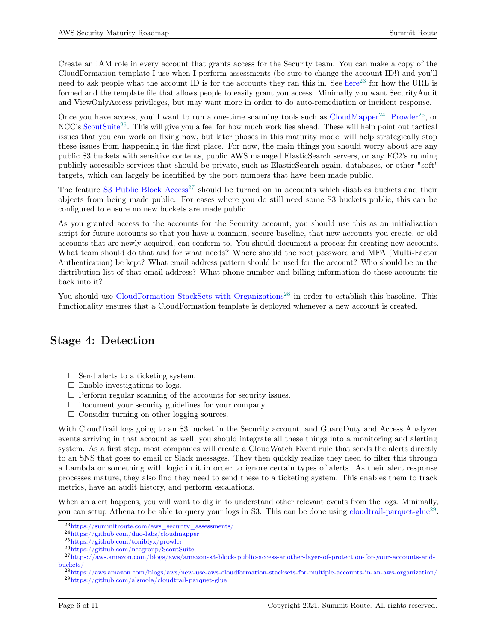Create an IAM role in every account that grants access for the Security team. You can make a copy of the CloudFormation template I use when I perform assessments (be sure to change the account ID!) and you'll need to ask people what the account ID is for the accounts they ran this in. See [here](https://summitroute.com/aws_security_assessments/)<sup>[23](#page-5-1)</sup> for how the URL is formed and the template file that allows people to easily grant you access. Minimally you want SecurityAudit and ViewOnlyAccess privileges, but may want more in order to do auto-remediation or incident response.

Once you have access, you'll want to run a one-time scanning tools such as  $CloudMapper^{24}$  $CloudMapper^{24}$  $CloudMapper^{24}$  $CloudMapper^{24}$ ,  $Prowler^{25}$  $Prowler^{25}$  $Prowler^{25}$  $Prowler^{25}$ , or NCC's [ScoutSuite](https://github.com/nccgroup/ScoutSuite)[26](#page-5-4). This will give you a feel for how much work lies ahead. These will help point out tactical issues that you can work on fixing now, but later phases in this maturity model will help strategically stop these issues from happening in the first place. For now, the main things you should worry about are any public S3 buckets with sensitive contents, public AWS managed ElasticSearch servers, or any EC2's running publicly accessible services that should be private, such as ElasticSearch again, databases, or other "soft" targets, which can largely be identified by the port numbers that have been made public.

The feature S3 Public Block  $Access^{27}$  $Access^{27}$  $Access^{27}$  should be turned on in accounts which disables buckets and their objects from being made public. For cases where you do still need some S3 buckets public, this can be configured to ensure no new buckets are made public.

As you granted access to the accounts for the Security account, you should use this as an initialization script for future accounts so that you have a common, secure baseline, that new accounts you create, or old accounts that are newly acquired, can conform to. You should document a process for creating new accounts. What team should do that and for what needs? Where should the root password and MFA (Multi-Factor Authentication) be kept? What email address pattern should be used for the account? Who should be on the distribution list of that email address? What phone number and billing information do these accounts tie back into it?

You should use [CloudFormation StackSets with Organizations](https://aws.amazon.com/blogs/aws/new-use-aws-cloudformation-stacksets-for-multiple-accounts-in-an-aws-organization/)<sup>[28](#page-5-6)</sup> in order to establish this baseline. This functionality ensures that a CloudFormation template is deployed whenever a new account is created.

## <span id="page-5-0"></span>Stage 4: Detection

- $\Box$  Send alerts to a ticketing system.
- $\Box$  Enable investigations to logs.
- $\Box$  Perform regular scanning of the accounts for security issues.
- $\Box$  Document your security guidelines for your company.
- $\Box$  Consider turning on other logging sources.

With CloudTrail logs going to an S3 bucket in the Security account, and GuardDuty and Access Analyzer events arriving in that account as well, you should integrate all these things into a monitoring and alerting system. As a first step, most companies will create a CloudWatch Event rule that sends the alerts directly to an SNS that goes to email or Slack messages. They then quickly realize they need to filter this through a Lambda or something with logic in it in order to ignore certain types of alerts. As their alert response processes mature, they also find they need to send these to a ticketing system. This enables them to track metrics, have an audit history, and perform escalations.

When an alert happens, you will want to dig in to understand other relevant events from the logs. Minimally, you can setup Athena to be able to query your logs in S3. This can be done using [cloudtrail-parquet-glue](https://github.com/alsmola/cloudtrail-parquet-glue)<sup>[29](#page-5-7)</sup>.

<span id="page-5-1"></span><sup>23</sup>[https://summitroute.com/aws\\_security\\_assessments/](https://summitroute.com/aws_security_assessments/)

<span id="page-5-2"></span><sup>24</sup><https://github.com/duo-labs/cloudmapper>

<span id="page-5-3"></span><sup>25</sup><https://github.com/toniblyx/prowler>

<span id="page-5-5"></span><span id="page-5-4"></span><sup>26</sup><https://github.com/nccgroup/ScoutSuite>

<sup>27</sup>[https://aws.amazon.com/blogs/aws/amazon-s3-block-public-access-another-layer-of-protection-for-your-accounts-and](https://aws.amazon.com/blogs/aws/amazon-s3-block-public-access-another-layer-of-protection-for-your-accounts-and-buckets/)[buckets/](https://aws.amazon.com/blogs/aws/amazon-s3-block-public-access-another-layer-of-protection-for-your-accounts-and-buckets/)

<span id="page-5-7"></span><span id="page-5-6"></span><sup>28</sup><https://aws.amazon.com/blogs/aws/new-use-aws-cloudformation-stacksets-for-multiple-accounts-in-an-aws-organization/> <sup>29</sup><https://github.com/alsmola/cloudtrail-parquet-glue>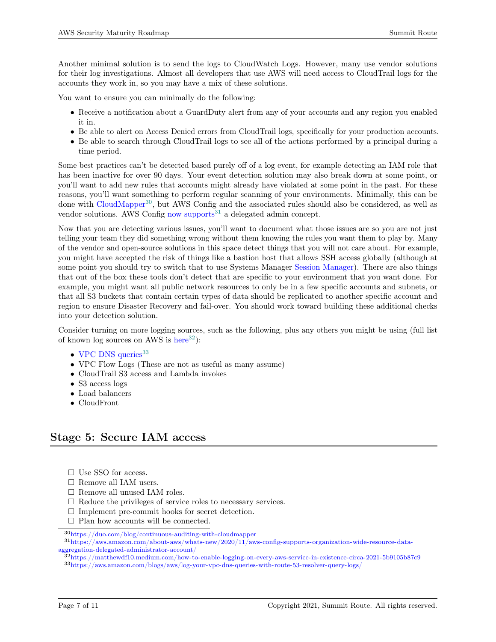Another minimal solution is to send the logs to CloudWatch Logs. However, many use vendor solutions for their log investigations. Almost all developers that use AWS will need access to CloudTrail logs for the accounts they work in, so you may have a mix of these solutions.

You want to ensure you can minimally do the following:

- Receive a notification about a GuardDuty alert from any of your accounts and any region you enabled it in.
- Be able to alert on Access Denied errors from CloudTrail logs, specifically for your production accounts.
- Be able to search through CloudTrail logs to see all of the actions performed by a principal during a time period.

Some best practices can't be detected based purely off of a log event, for example detecting an IAM role that has been inactive for over 90 days. Your event detection solution may also break down at some point, or you'll want to add new rules that accounts might already have violated at some point in the past. For these reasons, you'll want something to perform regular scanning of your environments. Minimally, this can be done with [CloudMapper](https://duo.com/blog/continuous-auditing-with-cloudmapper)[30](#page-6-1), but AWS Config and the associated rules should also be considered, as well as vendor solutions. AWS Config [now supports](https://aws.amazon.com/about-aws/whats-new/2020/11/aws-config-supports-organization-wide-resource-data-aggregation-delegated-administrator-account/)<sup>[31](#page-6-2)</sup> a delegated admin concept.

Now that you are detecting various issues, you'll want to document what those issues are so you are not just telling your team they did something wrong without them knowing the rules you want them to play by. Many of the vendor and open-source solutions in this space detect things that you will not care about. For example, you might have accepted the risk of things like a bastion host that allows SSH access globally (although at some point you should try to switch that to use Systems Manager [Session Manager\)](https://docs.aws.amazon.com/systems-manager/latest/userguide/session-manager.html). There are also things that out of the box these tools don't detect that are specific to your environment that you want done. For example, you might want all public network resources to only be in a few specific accounts and subnets, or that all S3 buckets that contain certain types of data should be replicated to another specific account and region to ensure Disaster Recovery and fail-over. You should work toward building these additional checks into your detection solution.

Consider turning on more logging sources, such as the following, plus any others you might be using (full list of known log sources on AWS is  $here^{32}$  $here^{32}$  $here^{32}$  $here^{32}$ :

- [VPC DNS queries](https://aws.amazon.com/blogs/aws/log-your-vpc-dns-queries-with-route-53-resolver-query-logs/) $33$
- VPC Flow Logs (These are not as useful as many assume)
- CloudTrail S3 access and Lambda invokes
- S3 access logs
- Load balancers
- CloudFront

### <span id="page-6-0"></span>Stage 5: Secure IAM access

- $\square$  Use SSO for access.
- $\Box$  Remove all IAM users.
- $\Box$  Remove all unused IAM roles.
- $\Box$  Reduce the privileges of service roles to necessary services.
- $\Box$  Implement pre-commit hooks for secret detection.
- $\Box$  Plan how accounts will be connected.

<span id="page-6-2"></span><span id="page-6-1"></span><sup>30</sup><https://duo.com/blog/continuous-auditing-with-cloudmapper>

<sup>31</sup>[https://aws.amazon.com/about-aws/whats-new/2020/11/aws-config-supports-organization-wide-resource-data](https://aws.amazon.com/about-aws/whats-new/2020/11/aws-config-supports-organization-wide-resource-data-aggregation-delegated-administrator-account/)[aggregation-delegated-administrator-account/](https://aws.amazon.com/about-aws/whats-new/2020/11/aws-config-supports-organization-wide-resource-data-aggregation-delegated-administrator-account/)

<span id="page-6-4"></span><span id="page-6-3"></span><sup>32</sup><https://matthewdf10.medium.com/how-to-enable-logging-on-every-aws-service-in-existence-circa-2021-5b9105b87c9> <sup>33</sup><https://aws.amazon.com/blogs/aws/log-your-vpc-dns-queries-with-route-53-resolver-query-logs/>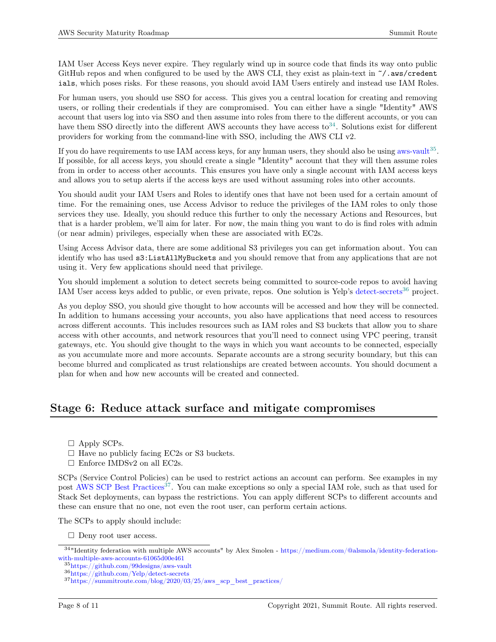IAM User Access Keys never expire. They regularly wind up in source code that finds its way onto public GitHub repos and when configured to be used by the AWS CLI, they exist as plain-text in  $\gamma$ . aws/credent ials, which poses risks. For these reasons, you should avoid IAM Users entirely and instead use IAM Roles.

For human users, you should use SSO for access. This gives you a central location for creating and removing users, or rolling their credentials if they are compromised. You can either have a single "Identity" AWS account that users log into via SSO and then assume into roles from there to the different accounts, or you can have them SSO directly into the different AWS accounts they have access to  $34$ . Solutions exist for different providers for working from the command-line with SSO, including the AWS CLI v2.

If you do have requirements to use IAM access keys, for any human users, they should also be using [aws-vault](https://github.com/99designs/aws-vault)<sup>[35](#page-7-2)</sup>. If possible, for all access keys, you should create a single "Identity" account that they will then assume roles from in order to access other accounts. This ensures you have only a single account with IAM access keys and allows you to setup alerts if the access keys are used without assuming roles into other accounts.

You should audit your IAM Users and Roles to identify ones that have not been used for a certain amount of time. For the remaining ones, use Access Advisor to reduce the privileges of the IAM roles to only those services they use. Ideally, you should reduce this further to only the necessary Actions and Resources, but that is a harder problem, we'll aim for later. For now, the main thing you want to do is find roles with admin (or near admin) privileges, especially when these are associated with EC2s.

Using Access Advisor data, there are some additional S3 privileges you can get information about. You can identify who has used s3:ListAllMyBuckets and you should remove that from any applications that are not using it. Very few applications should need that privilege.

You should implement a solution to detect secrets being committed to source-code repos to avoid having IAM User access keys added to public, or even private, repos. One solution is Yelp's [detect-secrets](https://github.com/Yelp/detect-secrets)<sup>[36](#page-7-3)</sup> project.

As you deploy SSO, you should give thought to how accounts will be accessed and how they will be connected. In addition to humans accessing your accounts, you also have applications that need access to resources across different accounts. This includes resources such as IAM roles and S3 buckets that allow you to share access with other accounts, and network resources that you'll need to connect using VPC peering, transit gateways, etc. You should give thought to the ways in which you want accounts to be connected, especially as you accumulate more and more accounts. Separate accounts are a strong security boundary, but this can become blurred and complicated as trust relationships are created between accounts. You should document a plan for when and how new accounts will be created and connected.

## <span id="page-7-0"></span>Stage 6: Reduce attack surface and mitigate compromises

- $\Box$  Apply SCPs.
- $\Box$  Have no publicly facing EC2s or S3 buckets.
- $\square$  Enforce IMDSv2 on all EC2s.

SCPs (Service Control Policies) can be used to restrict actions an account can perform. See examples in my post [AWS SCP Best Practices](https://summitroute.com/blog/2020/03/25/aws_scp_best_practices/)<sup>[37](#page-7-4)</sup>. You can make exceptions so only a special IAM role, such as that used for Stack Set deployments, can bypass the restrictions. You can apply different SCPs to different accounts and these can ensure that no one, not even the root user, can perform certain actions.

The SCPs to apply should include:

<span id="page-7-1"></span>□ Deny root user access.

<sup>34</sup>"Identity federation with multiple AWS accounts" by Alex Smolen - [https://medium.com/@alsmola/identity-federation](https://medium.com/@alsmola/identity-federation-with-multiple-aws-accounts-61065d00e461)[with-multiple-aws-accounts-61065d00e461](https://medium.com/@alsmola/identity-federation-with-multiple-aws-accounts-61065d00e461)

<span id="page-7-2"></span><sup>35</sup><https://github.com/99designs/aws-vault>

<span id="page-7-3"></span><sup>36</sup><https://github.com/Yelp/detect-secrets>

<span id="page-7-4"></span> $^{37}{\rm https://summirtoute.com/blog/2020/03/25/aws\_sep\_best\_practices/}$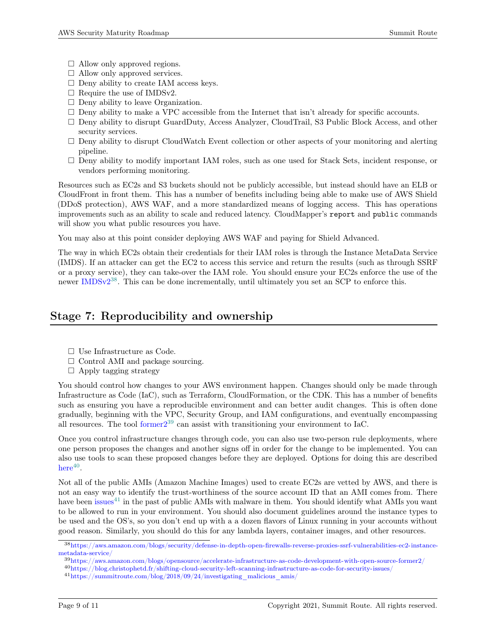- $\Box$  Allow only approved regions.
- $\Box$  Allow only approved services.
- $\Box$  Deny ability to create IAM access keys.
- $\Box$  Require the use of IMDSv2.
- $\Box$  Deny ability to leave Organization.
- $\Box$  Deny ability to make a VPC accessible from the Internet that isn't already for specific accounts.
- $\Box$  Deny ability to disrupt GuardDuty, Access Analyzer, CloudTrail, S3 Public Block Access, and other security services.
- $\square$  Deny ability to disrupt CloudWatch Event collection or other aspects of your monitoring and alerting pipeline.
- $\Box$  Deny ability to modify important IAM roles, such as one used for Stack Sets, incident response, or vendors performing monitoring.

Resources such as EC2s and S3 buckets should not be publicly accessible, but instead should have an ELB or CloudFront in front them. This has a number of benefits including being able to make use of AWS Shield (DDoS protection), AWS WAF, and a more standardized means of logging access. This has operations improvements such as an ability to scale and reduced latency. CloudMapper's report and public commands will show you what public resources you have.

You may also at this point consider deploying AWS WAF and paying for Shield Advanced.

The way in which EC2s obtain their credentials for their IAM roles is through the Instance MetaData Service (IMDS). If an attacker can get the EC2 to access this service and return the results (such as through SSRF or a proxy service), they can take-over the IAM role. You should ensure your EC2s enforce the use of the newer [IMDSv2](https://aws.amazon.com/blogs/security/defense-in-depth-open-firewalls-reverse-proxies-ssrf-vulnerabilities-ec2-instance-metadata-service/)[38](#page-8-1). This can be done incrementally, until ultimately you set an SCP to enforce this.

## <span id="page-8-0"></span>Stage 7: Reproducibility and ownership

- □ Use Infrastructure as Code.
- $\Box$  Control AMI and package sourcing.
- $\Box$  Apply tagging strategy

You should control how changes to your AWS environment happen. Changes should only be made through Infrastructure as Code (IaC), such as Terraform, CloudFormation, or the CDK. This has a number of benefits such as ensuring you have a reproducible environment and can better audit changes. This is often done gradually, beginning with the VPC, Security Group, and IAM configurations, and eventually encompassing all resources. The tool [former2](https://aws.amazon.com/blogs/opensource/accelerate-infrastructure-as-code-development-with-open-source-former2/)[39](#page-8-2) can assist with transitioning your environment to IaC.

Once you control infrastructure changes through code, you can also use two-person rule deployments, where one person proposes the changes and another signs off in order for the change to be implemented. You can also use tools to scan these proposed changes before they are deployed. Options for doing this are described  $here<sup>40</sup>$  $here<sup>40</sup>$  $here<sup>40</sup>$  $here<sup>40</sup>$ .

Not all of the public AMIs (Amazon Machine Images) used to create EC2s are vetted by AWS, and there is not an easy way to identify the trust-worthiness of the source account ID that an AMI comes from. There have been [issues](https://summitroute.com/blog/2018/09/24/investigating_malicious_amis/)<sup>[41](#page-8-4)</sup> in the past of public AMIs with malware in them. You should identify what AMIs you want to be allowed to run in your environment. You should also document guidelines around the instance types to be used and the OS's, so you don't end up with a a dozen flavors of Linux running in your accounts without good reason. Similarly, you should do this for any lambda layers, container images, and other resources.

<span id="page-8-3"></span> $^{40}$ <https://blog.christophetd.fr/shifting-cloud-security-left-scanning-infrastructure-as-code-for-security-issues/>

<span id="page-8-1"></span><sup>38</sup>[https://aws.amazon.com/blogs/security/defense-in-depth-open-firewalls-reverse-proxies-ssrf-vulnerabilities-ec2-instance](https://aws.amazon.com/blogs/security/defense-in-depth-open-firewalls-reverse-proxies-ssrf-vulnerabilities-ec2-instance-metadata-service/)[metadata-service/](https://aws.amazon.com/blogs/security/defense-in-depth-open-firewalls-reverse-proxies-ssrf-vulnerabilities-ec2-instance-metadata-service/)

<span id="page-8-2"></span><sup>39</sup><https://aws.amazon.com/blogs/opensource/accelerate-infrastructure-as-code-development-with-open-source-former2/>

<span id="page-8-4"></span> $^{41}{\rm https://summint route.com/blog/2018/09/24/investigating\_malicious\_amis/}$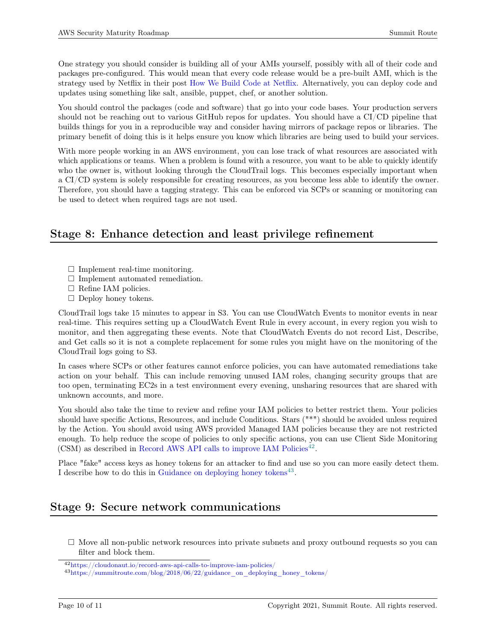One strategy you should consider is building all of your AMIs yourself, possibly with all of their code and packages pre-configured. This would mean that every code release would be a pre-built AMI, which is the strategy used by Netflix in their post [How We Build Code at Netflix.](https://medium.com/netflix-techblog/how-we-build-code-at-netflix-c5d9bd727f15) Alternatively, you can deploy code and updates using something like salt, ansible, puppet, chef, or another solution.

You should control the packages (code and software) that go into your code bases. Your production servers should not be reaching out to various GitHub repos for updates. You should have a CI/CD pipeline that builds things for you in a reproducible way and consider having mirrors of package repos or libraries. The primary benefit of doing this is it helps ensure you know which libraries are being used to build your services.

With more people working in an AWS environment, you can lose track of what resources are associated with which applications or teams. When a problem is found with a resource, you want to be able to quickly identify who the owner is, without looking through the CloudTrail logs. This becomes especially important when a CI/CD system is solely responsible for creating resources, as you become less able to identify the owner. Therefore, you should have a tagging strategy. This can be enforced via SCPs or scanning or monitoring can be used to detect when required tags are not used.

## <span id="page-9-0"></span>Stage 8: Enhance detection and least privilege refinement

- $\Box$  Implement real-time monitoring.
- $\Box$  Implement automated remediation.
- $\Box$  Refine IAM policies.
- $\Box$  Deploy honey tokens.

CloudTrail logs take 15 minutes to appear in S3. You can use CloudWatch Events to monitor events in near real-time. This requires setting up a CloudWatch Event Rule in every account, in every region you wish to monitor, and then aggregating these events. Note that CloudWatch Events do not record List, Describe, and Get calls so it is not a complete replacement for some rules you might have on the monitoring of the CloudTrail logs going to S3.

In cases where SCPs or other features cannot enforce policies, you can have automated remediations take action on your behalf. This can include removing unused IAM roles, changing security groups that are too open, terminating EC2s in a test environment every evening, unsharing resources that are shared with unknown accounts, and more.

You should also take the time to review and refine your IAM policies to better restrict them. Your policies should have specific Actions, Resources, and include Conditions. Stars ("\*") should be avoided unless required by the Action. You should avoid using AWS provided Managed IAM policies because they are not restricted enough. To help reduce the scope of policies to only specific actions, you can use Client Side Monitoring (CSM) as described in [Record AWS API calls to improve IAM Policies](https://cloudonaut.io/record-aws-api-calls-to-improve-iam-policies/)<sup>[42](#page-9-2)</sup>.

Place "fake" access keys as honey tokens for an attacker to find and use so you can more easily detect them. I describe how to do this in [Guidance on deploying honey tokens](https://summitroute.com/blog/2018/06/22/guidance_on_deploying_honey_tokens/)<sup>[43](#page-9-3)</sup>.

## <span id="page-9-1"></span>Stage 9: Secure network communications

 $\Box$  Move all non-public network resources into private subnets and proxy outbound requests so you can filter and block them.

<span id="page-9-2"></span> $42$ <https://cloudonaut.io/record-aws-api-calls-to-improve-iam-policies/>

<span id="page-9-3"></span><sup>43</sup>[https://summitroute.com/blog/2018/06/22/guidance\\_on\\_deploying\\_honey\\_tokens/](https://summitroute.com/blog/2018/06/22/guidance_on_deploying_honey_tokens/)